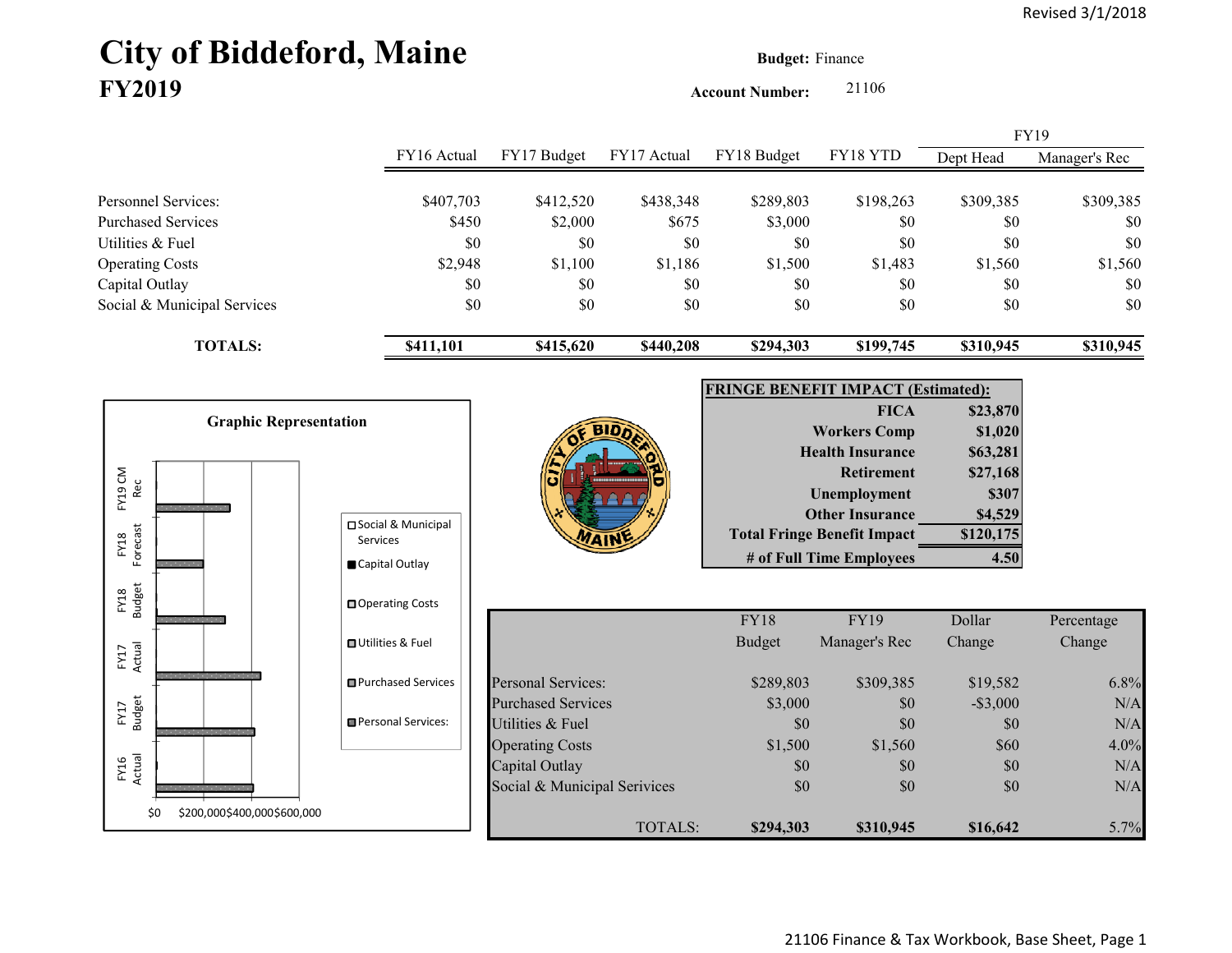# **City of Biddeford, Maine Budget: Finance FY2019**

**Account Number:** 21106

|                             |             |             |             |             |           | <b>FY19</b> |               |
|-----------------------------|-------------|-------------|-------------|-------------|-----------|-------------|---------------|
|                             | FY16 Actual | FY17 Budget | FY17 Actual | FY18 Budget | FY18 YTD  | Dept Head   | Manager's Rec |
|                             |             |             |             |             |           |             |               |
| Personnel Services:         | \$407,703   | \$412,520   | \$438,348   | \$289,803   | \$198,263 | \$309,385   | \$309,385     |
| Purchased Services          | \$450       | \$2,000     | \$675       | \$3,000     | \$0       | \$0         | \$0           |
| Utilities & Fuel            | \$0         | \$0         | \$0         | \$0         | \$0       | \$0         | \$0           |
| <b>Operating Costs</b>      | \$2,948     | \$1,100     | \$1,186     | \$1,500     | \$1,483   | \$1,560     | \$1,560       |
| Capital Outlay              | \$0         | \$0         | \$0         | \$0         | \$0       | \$0         | \$0           |
| Social & Municipal Services | \$0         | \$0         | \$0         | \$0         | \$0       | \$0         | \$0           |
| <b>TOTALS:</b>              | \$411,101   | \$415,620   | \$440,208   | \$294,303   | \$199,745 | \$310,945   | \$310,945     |

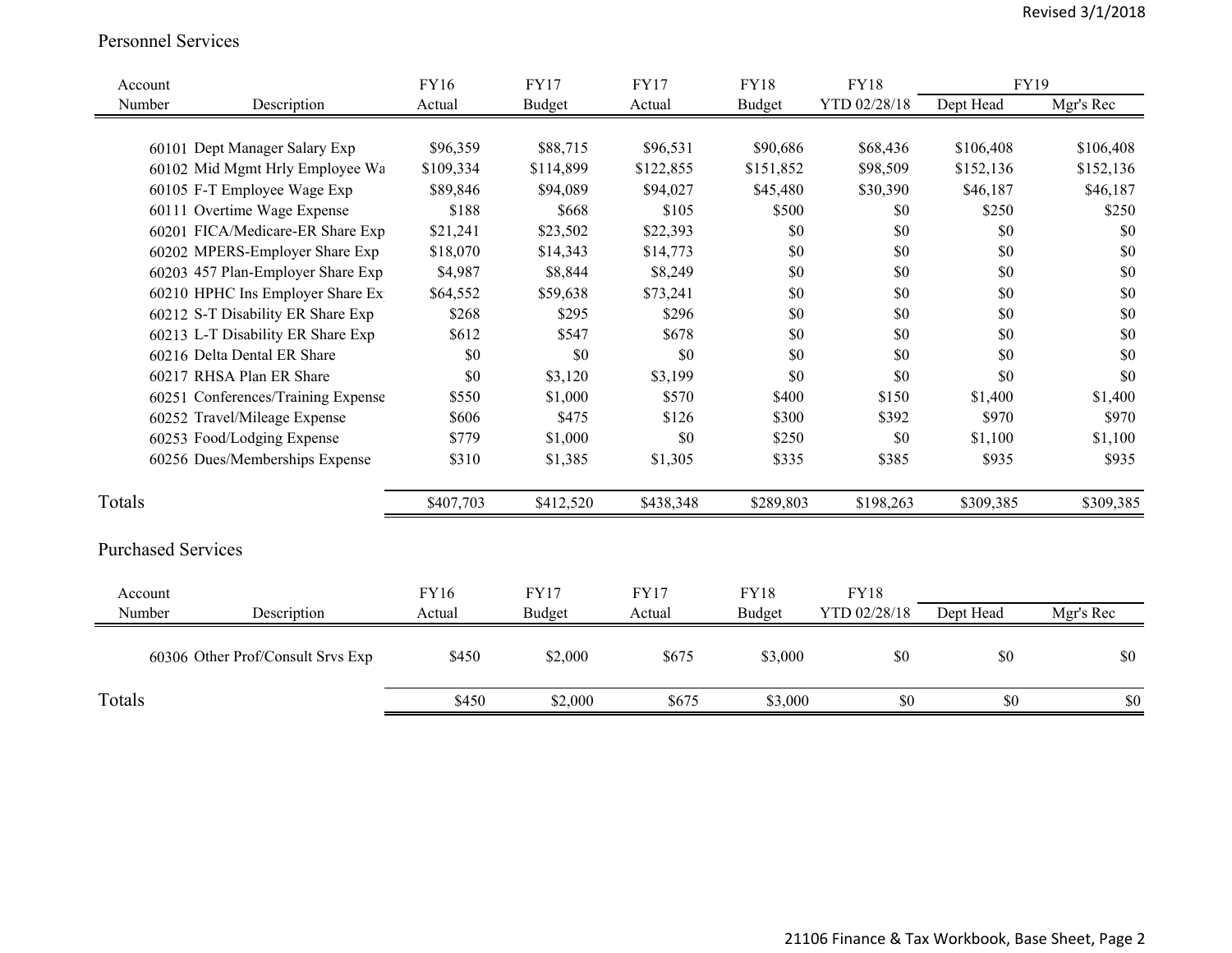#### Personnel Services

| Account                     |                                    | <b>FY16</b> | <b>FY17</b>   | <b>FY17</b> | <b>FY18</b>   | <b>FY18</b>  | FY19      |           |
|-----------------------------|------------------------------------|-------------|---------------|-------------|---------------|--------------|-----------|-----------|
| Number                      | Description                        | Actual      | <b>Budget</b> | Actual      | <b>Budget</b> | YTD 02/28/18 | Dept Head | Mgr's Rec |
|                             |                                    |             |               |             |               |              |           |           |
|                             | 60101 Dept Manager Salary Exp      | \$96,359    | \$88,715      | \$96,531    | \$90,686      | \$68,436     | \$106,408 | \$106,408 |
|                             | 60102 Mid Mgmt Hrly Employee Wa    | \$109,334   | \$114,899     | \$122,855   | \$151,852     | \$98,509     | \$152,136 | \$152,136 |
|                             | 60105 F-T Employee Wage Exp        | \$89,846    | \$94,089      | \$94,027    | \$45,480      | \$30,390     | \$46,187  | \$46,187  |
|                             | 60111 Overtime Wage Expense        | \$188       | \$668         | \$105       | \$500         | \$0          | \$250     | \$250     |
|                             | 60201 FICA/Medicare-ER Share Exp   | \$21,241    | \$23,502      | \$22,393    | \$0           | \$0          | \$0       | \$0       |
|                             | 60202 MPERS-Employer Share Exp     | \$18,070    | \$14,343      | \$14,773    | \$0           | \$0          | \$0       | \$0       |
|                             | 60203 457 Plan-Employer Share Exp  | \$4,987     | \$8,844       | \$8,249     | \$0           | \$0          | \$0       | \$0       |
|                             | 60210 HPHC Ins Employer Share Ex   | \$64,552    | \$59,638      | \$73,241    | \$0           | \$0          | \$0       | \$0       |
|                             | 60212 S-T Disability ER Share Exp  | \$268       | \$295         | \$296       | \$0           | \$0          | \$0       | \$0       |
|                             | 60213 L-T Disability ER Share Exp  | \$612       | \$547         | \$678       | \$0           | \$0          | \$0       | \$0       |
| 60216 Delta Dental ER Share |                                    | \$0         | \$0           | \$0         | \$0           | \$0          | \$0       | \$0       |
| 60217 RHSA Plan ER Share    |                                    | \$0         | \$3,120       | \$3,199     | \$0           | \$0          | \$0       | \$0       |
|                             | 60251 Conferences/Training Expense | \$550       | \$1,000       | \$570       | \$400         | \$150        | \$1,400   | \$1,400   |
|                             | 60252 Travel/Mileage Expense       | \$606       | \$475         | \$126       | \$300         | \$392        | \$970     | \$970     |
|                             | 60253 Food/Lodging Expense         | \$779       | \$1,000       | \$0         | \$250         | \$0          | \$1,100   | \$1,100   |
|                             | 60256 Dues/Memberships Expense     | \$310       | \$1,385       | \$1,305     | \$335         | \$385        | \$935     | \$935     |
| Totals                      |                                    | \$407,703   | \$412,520     | \$438,348   | \$289,803     | \$198,263    | \$309,385 | \$309,385 |
| <b>Purchased Services</b>   |                                    |             |               |             |               |              |           |           |
| Account                     |                                    | <b>FY16</b> | <b>FY17</b>   | <b>FY17</b> | <b>FY18</b>   | <b>FY18</b>  |           |           |
| Number                      | Description                        | Actual      | <b>Budget</b> | Actual      | <b>Budget</b> | YTD 02/28/18 | Dept Head | Mgr's Rec |
|                             | 60306 Other Prof/Consult Srvs Exp  | \$450       | \$2,000       | \$675       | \$3,000       | \$0          | \$0       | \$0       |
| Totals                      |                                    | \$450       | \$2,000       | \$675       | \$3,000       | $\$0$        | \$0       | \$0       |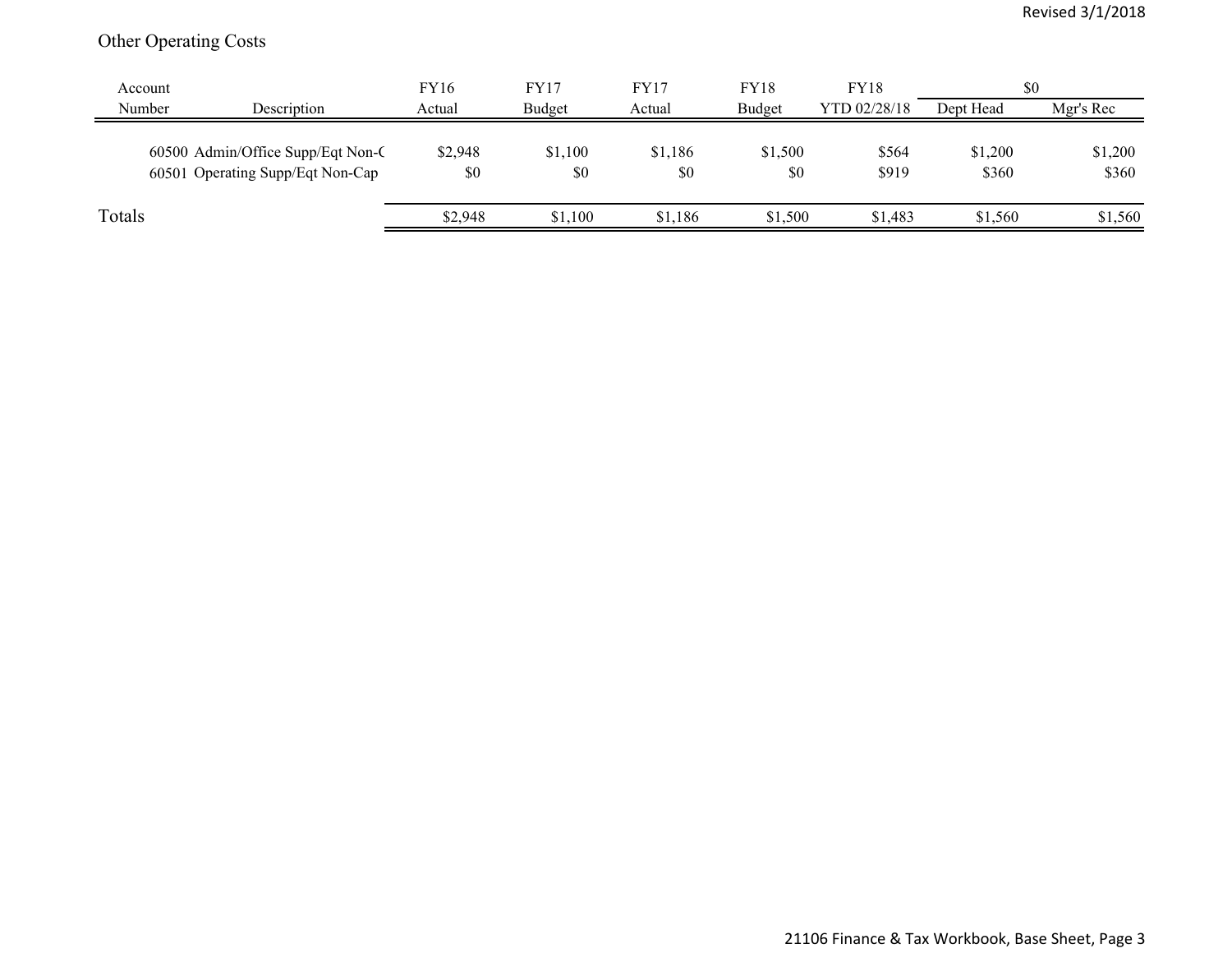## Other Operating Costs

| Account |                                                                       | <b>FY16</b>    | <b>FY17</b>    | FY17           | <b>FY18</b>    | <b>FY18</b>    | \$0              |                  |
|---------|-----------------------------------------------------------------------|----------------|----------------|----------------|----------------|----------------|------------------|------------------|
| Number  | Description                                                           | Actual         | Budget         | Actual         | Budget         | YTD 02/28/18   | Dept Head        | Mgr's Rec        |
|         | 60500 Admin/Office Supp/Eqt Non-C<br>60501 Operating Supp/Eqt Non-Cap | \$2,948<br>\$0 | \$1,100<br>\$0 | \$1,186<br>\$0 | \$1,500<br>\$0 | \$564<br>\$919 | \$1,200<br>\$360 | \$1,200<br>\$360 |
| Totals  |                                                                       | \$2,948        | \$1,100        | \$1.186        | \$1,500        | \$1,483        | \$1,560          | \$1,560          |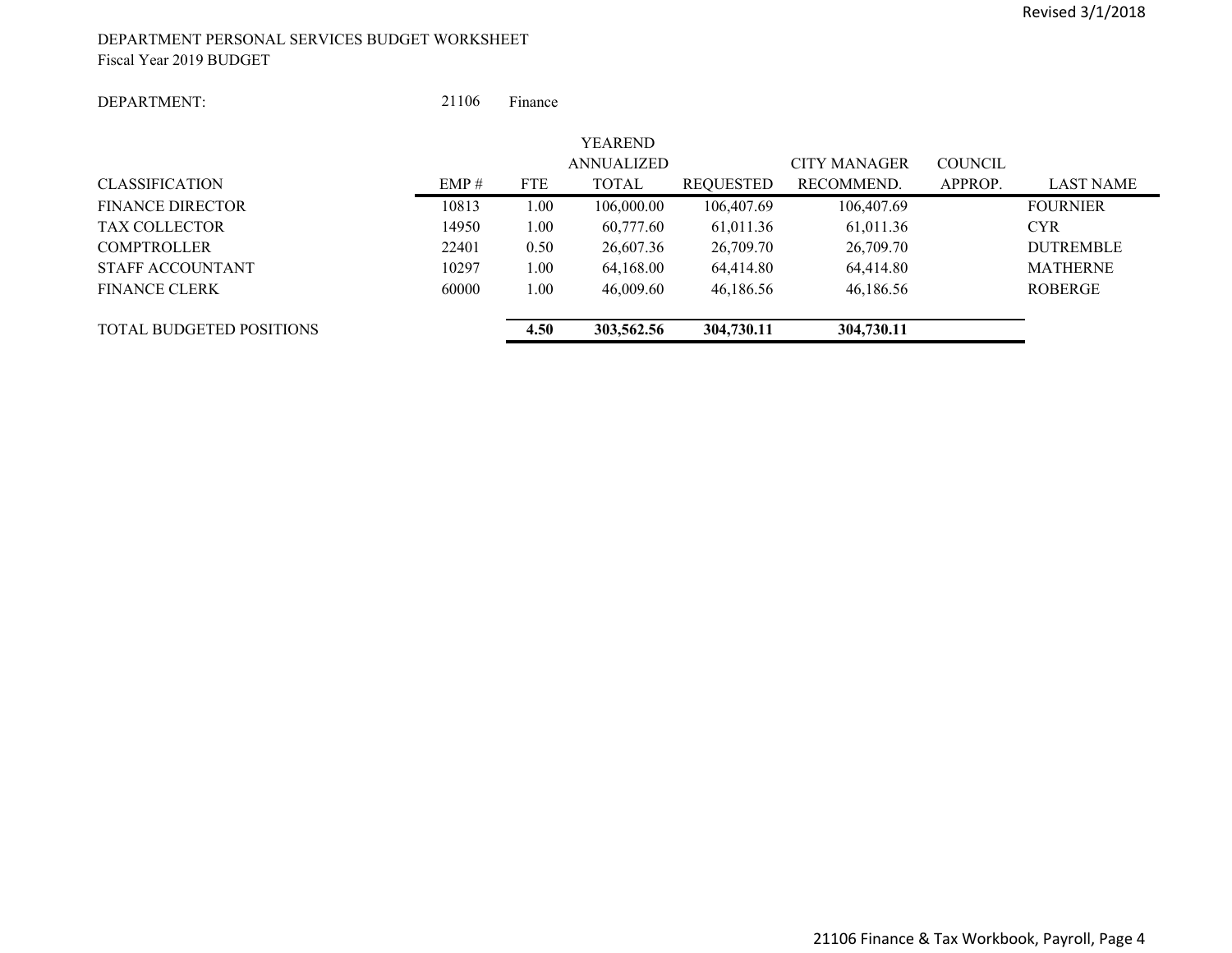#### DEPARTMENT PERSONAL SERVICES BUDGET WORKSHEET Fiscal Year 2019 BUDGET

#### DEPARTMENT:

 21106Finance

|                                 |       |            | YEAREND           |            |                     |                |                  |
|---------------------------------|-------|------------|-------------------|------------|---------------------|----------------|------------------|
|                                 |       |            | <b>ANNUALIZED</b> |            | <b>CITY MANAGER</b> | <b>COUNCIL</b> |                  |
| <b>CLASSIFICATION</b>           | EMP#  | <b>FTE</b> | <b>TOTAL</b>      | REQUESTED  | RECOMMEND.          | APPROP.        | <b>LAST NAME</b> |
| <b>FINANCE DIRECTOR</b>         | 10813 | 1.00       | 106,000.00        | 106,407.69 | 106,407.69          |                | <b>FOURNIER</b>  |
| <b>TAX COLLECTOR</b>            | 14950 | 1.00       | 60,777.60         | 61,011.36  | 61,011.36           |                | <b>CYR</b>       |
| <b>COMPTROLLER</b>              | 22401 | 0.50       | 26,607.36         | 26,709.70  | 26,709.70           |                | <b>DUTREMBLE</b> |
| STAFF ACCOUNTANT                | 10297 | 1.00       | 64,168.00         | 64,414.80  | 64,414.80           |                | <b>MATHERNE</b>  |
| <b>FINANCE CLERK</b>            | 60000 | 1.00       | 46,009.60         | 46,186.56  | 46,186.56           |                | ROBERGE          |
| <b>TOTAL BUDGETED POSITIONS</b> |       | 4.50       | 303,562.56        | 304,730.11 | 304,730.11          |                |                  |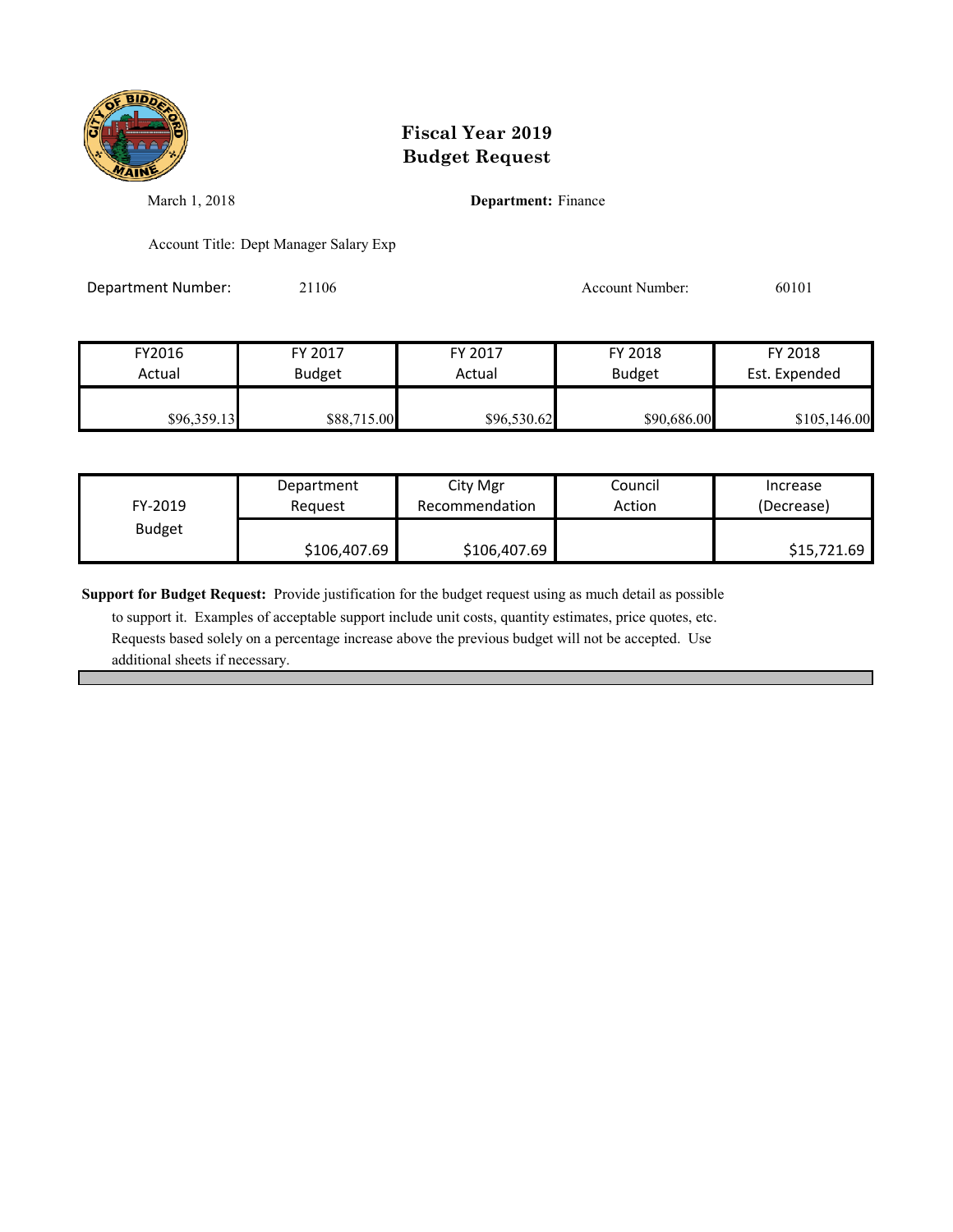

March 1, 2018 **Department:** Finance

Account Title: Dept Manager Salary Exp

Department Number: 21106 Account Number: 60101

FY2016 FY 2017 FY 2017 FY 2018 FY 2018 Actual Budget | Actual Budget Est. Expended \$96,359.13 \$88,715.00 \$96,530.62 \$90,686.00 \$105,146.00

| FY-2019       | Department   | City Mgr       | Council | Increase    |
|---------------|--------------|----------------|---------|-------------|
|               | Reauest      | Recommendation | Action  | (Decrease)  |
| <b>Budget</b> | \$106,407.69 | \$106,407.69   |         | \$15,721.69 |

**Support for Budget Request:** Provide justification for the budget request using as much detail as possible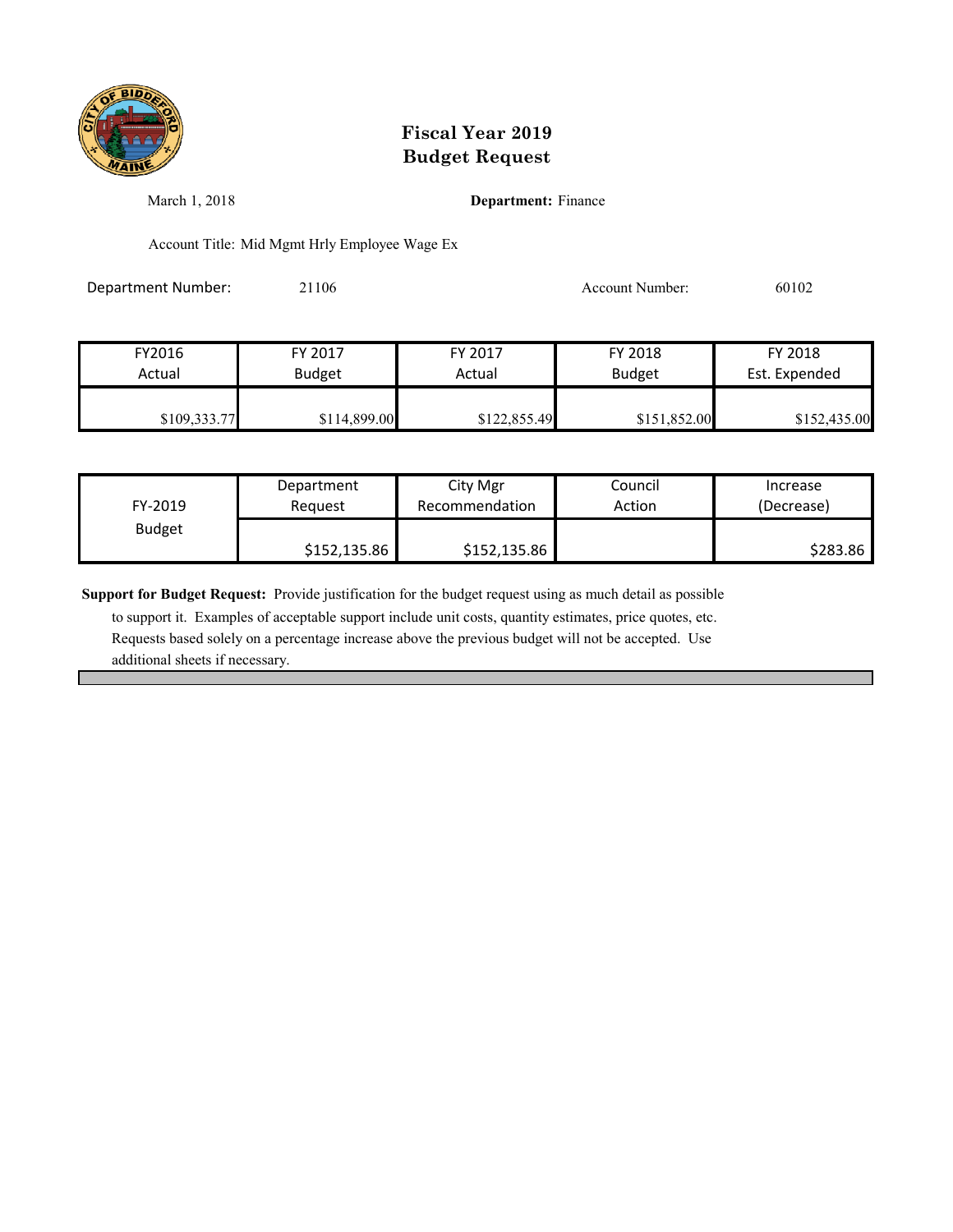

March 1, 2018 **Department:** Finance

Account Title: Mid Mgmt Hrly Employee Wage Ex

Department Number: 21106 20102 Account Number: 60102

| FY2016       | FY 2017       | FY 2017      | FY 2018       | FY 2018       |
|--------------|---------------|--------------|---------------|---------------|
| Actual       | <b>Budget</b> | Actual       | <b>Budget</b> | Est. Expended |
|              |               |              |               |               |
| \$109,333.77 | \$114,899.00  | \$122,855.49 | \$151,852.00  | \$152,435.00  |

| FY-2019       | Department   | City Mgr       | Council | Increase   |
|---------------|--------------|----------------|---------|------------|
|               | Reauest      | Recommendation | Action  | (Decrease) |
| <b>Budget</b> | \$152,135.86 | \$152,135.86   |         | \$283.86   |

**Support for Budget Request:** Provide justification for the budget request using as much detail as possible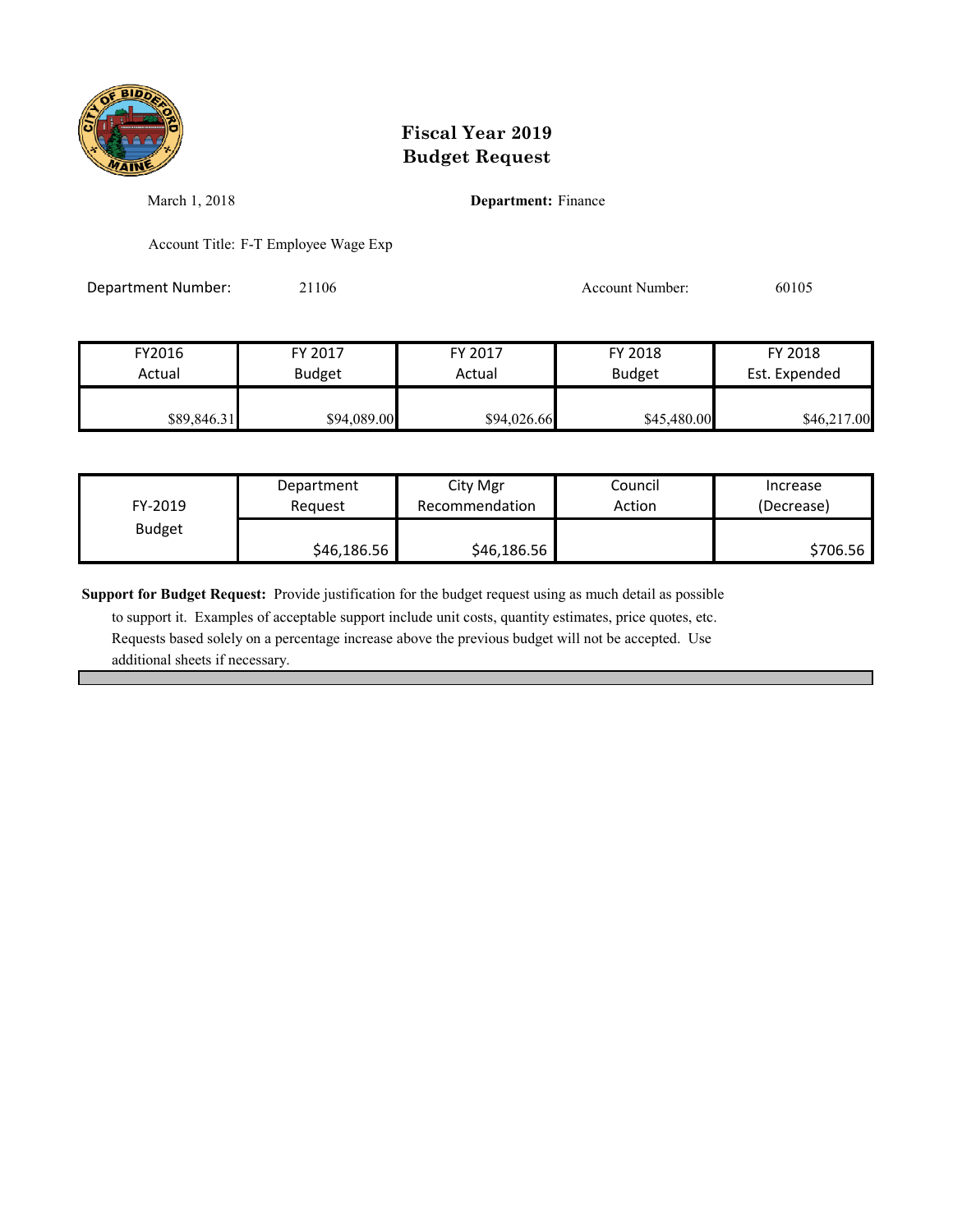

March 1, 2018 **Department:** Finance

Account Title: F-T Employee Wage Exp

Department Number: 21106 Account Number: 60105

FY2016 FY 2017 FY 2017 FY 2018 FY 2018 Actual Budget **Actual Budget** Actual Budget Est. Expended  $$89,846.31$   $$94,089.00$   $$94,026.66$   $$45,480.00$   $$46,217.00$ 

| FY-2019       | Department  | City Mgr       | Council | Increase   |
|---------------|-------------|----------------|---------|------------|
|               | Reauest     | Recommendation | Action  | (Decrease) |
| <b>Budget</b> | \$46,186.56 | \$46,186.56    |         | \$706.56   |

**Support for Budget Request:** Provide justification for the budget request using as much detail as possible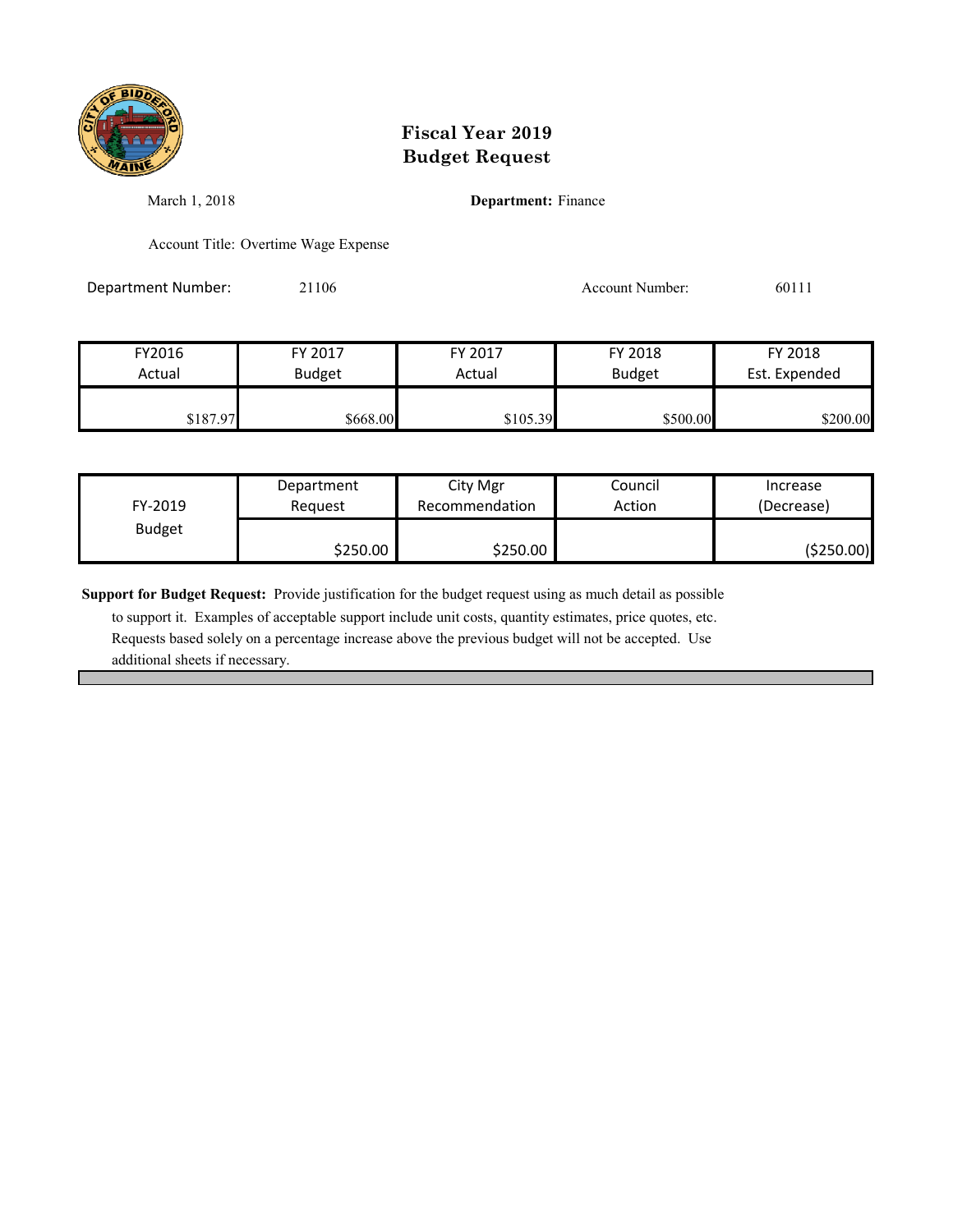

March 1, 2018 **Department:** Finance

Account Title: Overtime Wage Expense

Department Number: 21106 21106 Account Number: 60111

| FY2016   | FY 2017       | FY 2017  | FY 2018       | FY 2018       |
|----------|---------------|----------|---------------|---------------|
| Actual   | <b>Budget</b> | Actual   | <b>Budget</b> | Est. Expended |
| \$187.97 | \$668.00      | \$105.39 | \$500.00      | \$200.00      |

| FY-2019       | Department | City Mgr       | Council | Increase   |
|---------------|------------|----------------|---------|------------|
|               | Reauest    | Recommendation | Action  | (Decrease) |
| <b>Budget</b> | \$250.00   | \$250.00       |         | (\$250.00) |

**Support for Budget Request:** Provide justification for the budget request using as much detail as possible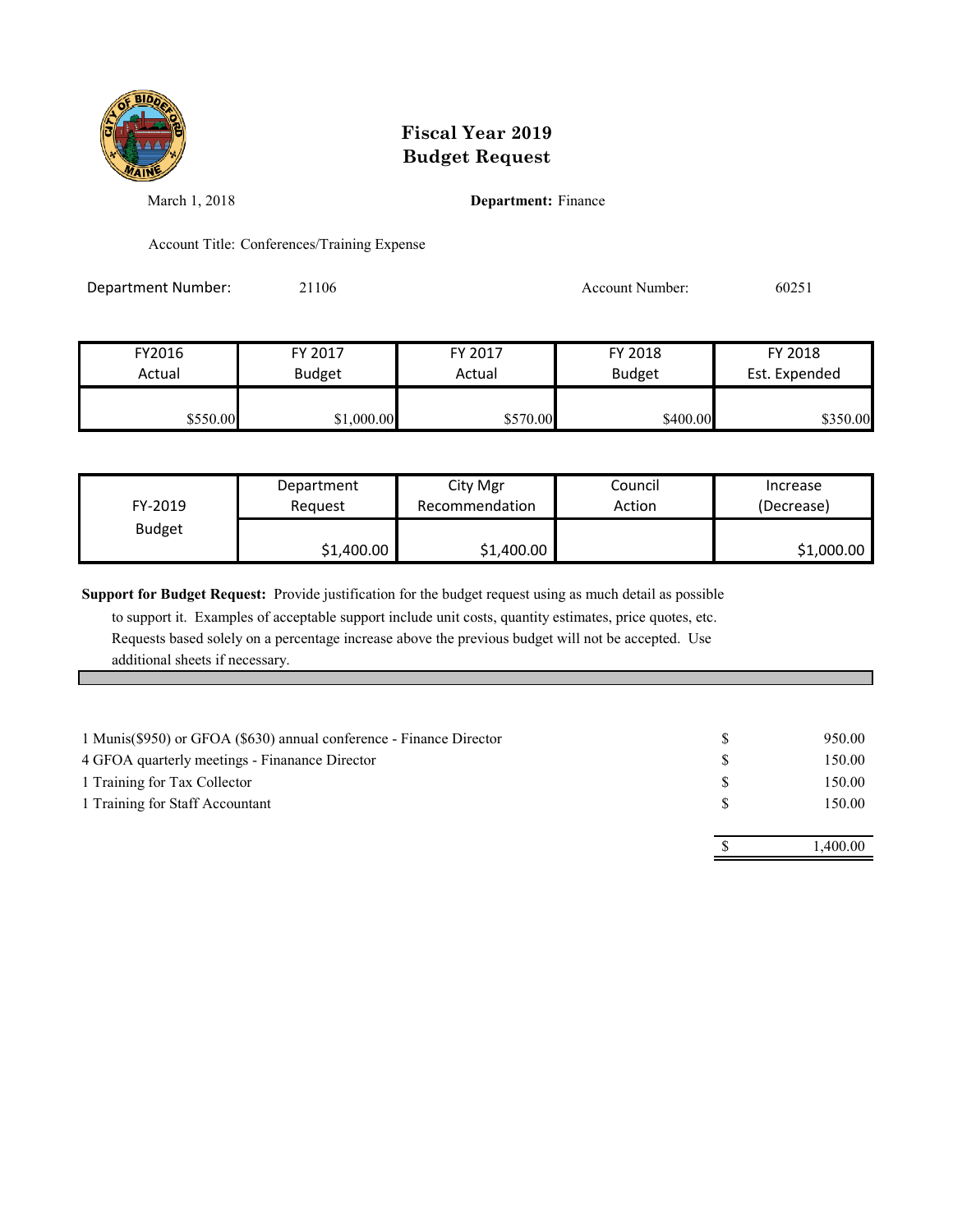

March 1, 2018 **Department:** Finance

Account Title: Conferences/Training Expense

Department Number: 21106 Account Number: 60251

FY2016 FY 2017 FY 2017 FY 2018 FY 2018 Actual Budget **Actual Budget** Actual Budget Est. Expended \$550.00 \$1,000.00 \$550.00 \$570.00 \$400.00 \$350.00

| FY-2019       | Department | City Mgr       | Council | Increase   |
|---------------|------------|----------------|---------|------------|
|               | Reauest    | Recommendation | Action  | (Decrease) |
| <b>Budget</b> | \$1,400.00 | \$1,400.00     |         | \$1,000.00 |

**Support for Budget Request:** Provide justification for the budget request using as much detail as possible

| 1 Training for Staff Accountant | 150.00  |
|---------------------------------|---------|
|                                 | .400.00 |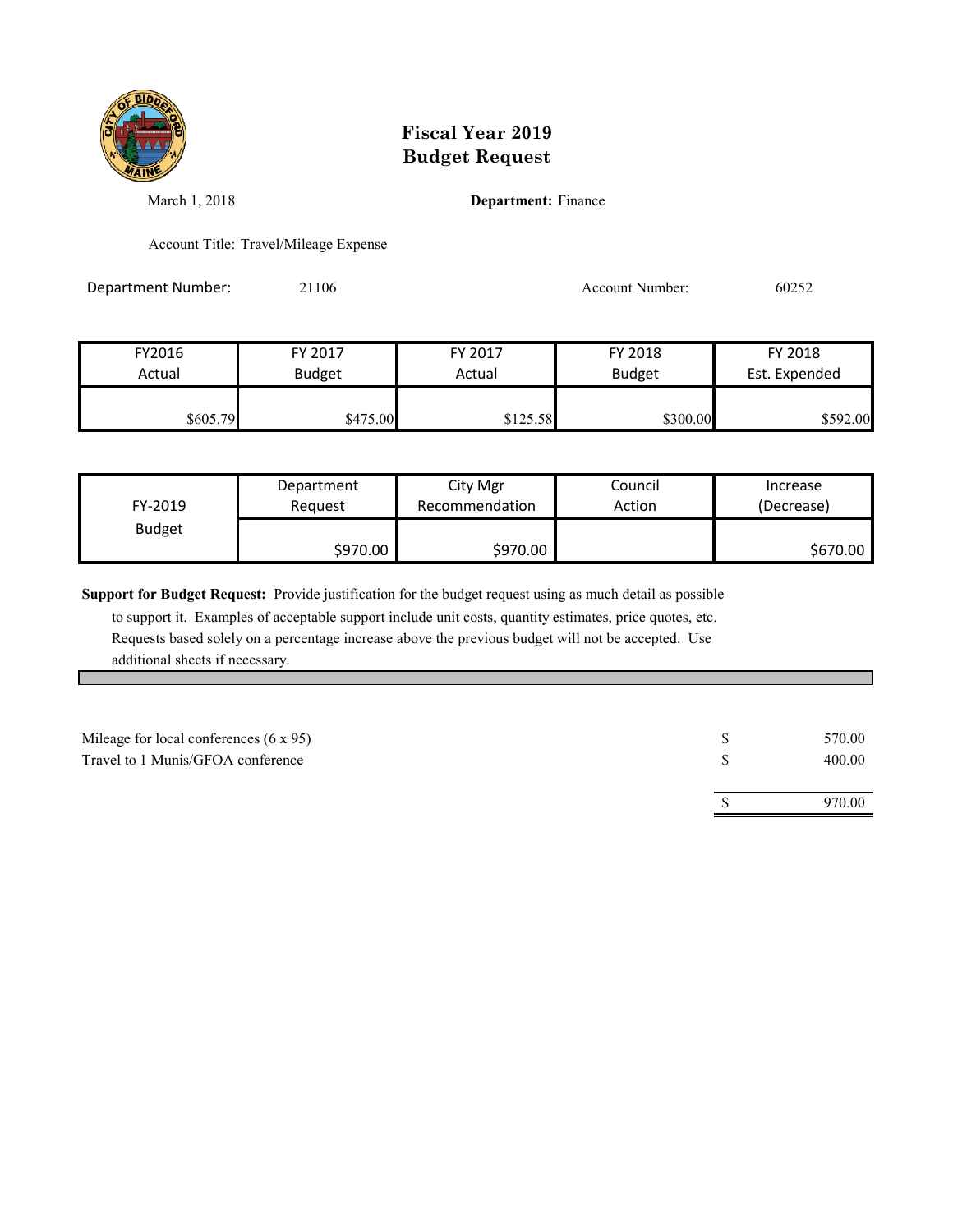

March 1, 2018 **Department:** Finance

Account Title: Travel/Mileage Expense

Department Number: 21106 252

| FY2016   | FY 2017       | FY 2017  | FY 2018       | FY 2018       |
|----------|---------------|----------|---------------|---------------|
| Actual   | <b>Budget</b> | Actual   | <b>Budget</b> | Est. Expended |
| \$605.79 | \$475.00      | \$125.58 | \$300.00      | \$592.00      |

| FY-2019       | Department | City Mgr       | Council | Increase   |
|---------------|------------|----------------|---------|------------|
|               | Request    | Recommendation | Action  | (Decrease) |
| <b>Budget</b> | \$970.00   | \$970.00       |         | \$670.00   |

**Support for Budget Request:** Provide justification for the budget request using as much detail as possible

| Mileage for local conferences $(6 \times 95)$ | 570.00 |
|-----------------------------------------------|--------|
| Travel to 1 Munis/GFOA conference             | 400.00 |
|                                               |        |
|                                               | 970.00 |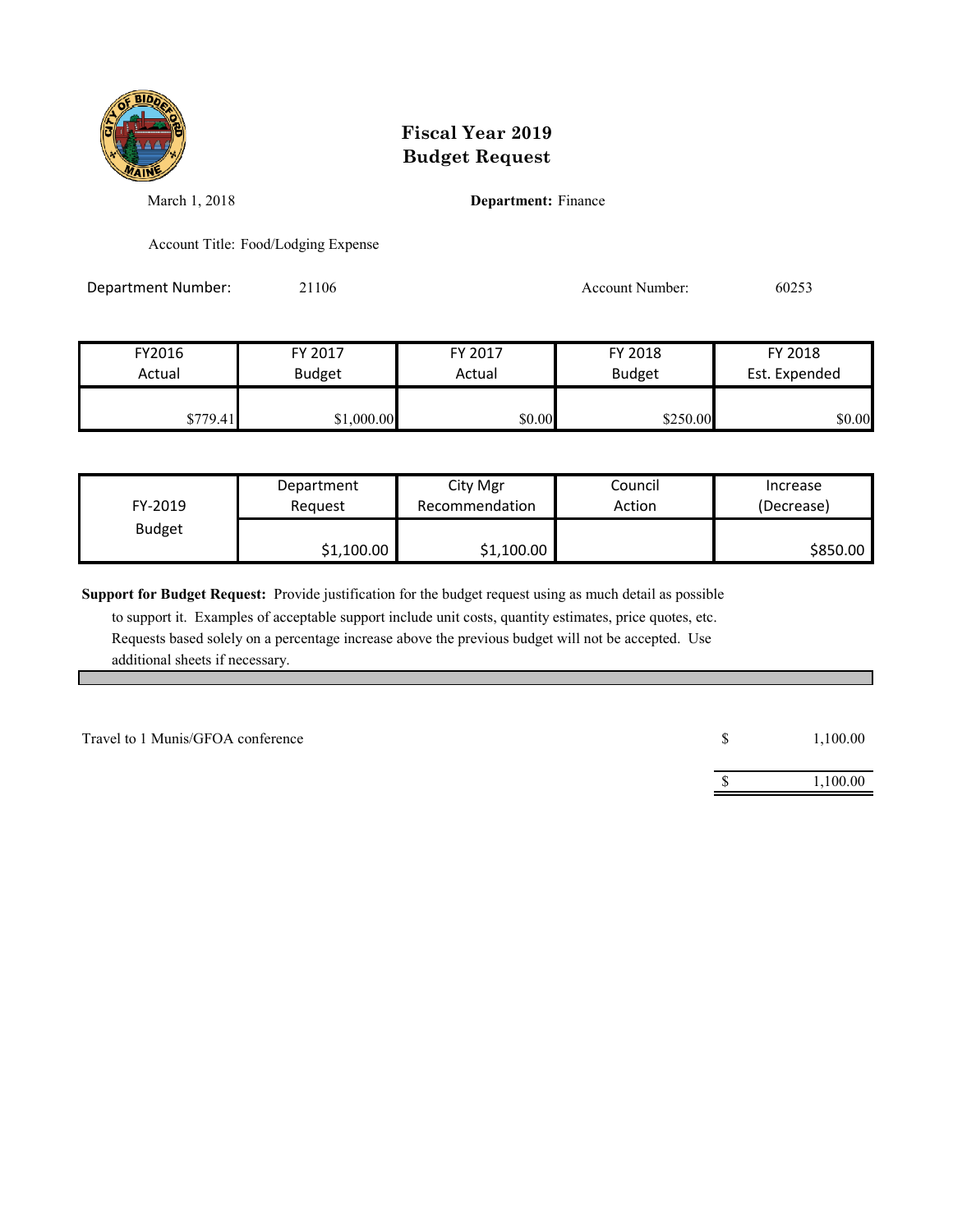

March 1, 2018 **Department:** Finance

Account Title: Food/Lodging Expense

Department Number: 21106 253

| FY2016   | FY 2017       | FY 2017 | FY 2018       | FY 2018       |
|----------|---------------|---------|---------------|---------------|
| Actual   | <b>Budget</b> | Actual  | <b>Budget</b> | Est. Expended |
|          |               |         |               |               |
| \$779.41 | \$1,000.00    | \$0.00  | \$250.00      | \$0.00        |

| FY-2019       | Department | City Mgr       | Council | Increase   |
|---------------|------------|----------------|---------|------------|
|               | Reauest    | Recommendation | Action  | (Decrease) |
| <b>Budget</b> | \$1,100.00 | \$1,100.00     |         | \$850.00   |

**Support for Budget Request:** Provide justification for the budget request using as much detail as possible

| Travel to 1 Munis/GFOA conference | Ъ. | 1,100.00 |
|-----------------------------------|----|----------|
|                                   |    | ,100.00  |
|                                   |    |          |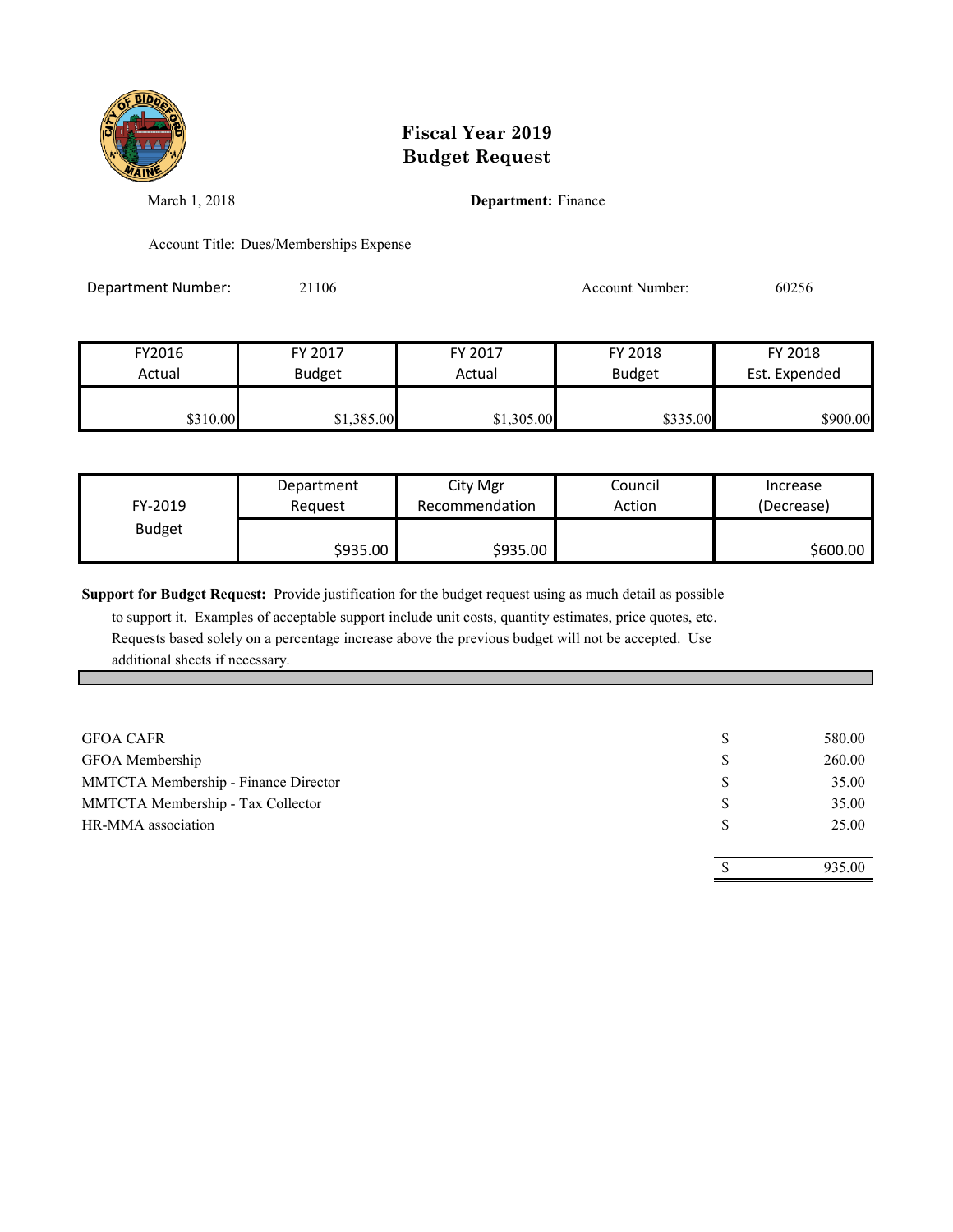

March 1, 2018 **Department:** Finance

Account Title: Dues/Memberships Expense

Department Number: 21106 20256 Account Number: 60256

| FY2016   | FY 2017       | FY 2017    | FY 2018       | FY 2018       |
|----------|---------------|------------|---------------|---------------|
| Actual   | <b>Budget</b> | Actual     | <b>Budget</b> | Est. Expended |
| \$310.00 | \$1,385.00    | \$1,305.00 | \$335.00      | \$900.00      |

| FY-2019       | Department | City Mgr       | Council | Increase   |
|---------------|------------|----------------|---------|------------|
|               | Reauest    | Recommendation | Action  | (Decrease) |
| <b>Budget</b> | \$935.00   | \$935.00       |         | \$600.00   |

**Support for Budget Request:** Provide justification for the budget request using as much detail as possible

| <b>GFOA CAFR</b>                     | 580.00 |
|--------------------------------------|--------|
| GFOA Membership                      | 260.00 |
| MMTCTA Membership - Finance Director | 35.00  |
| MMTCTA Membership - Tax Collector    | 35.00  |
| HR-MMA association                   | 25.00  |
|                                      |        |
|                                      | 935.00 |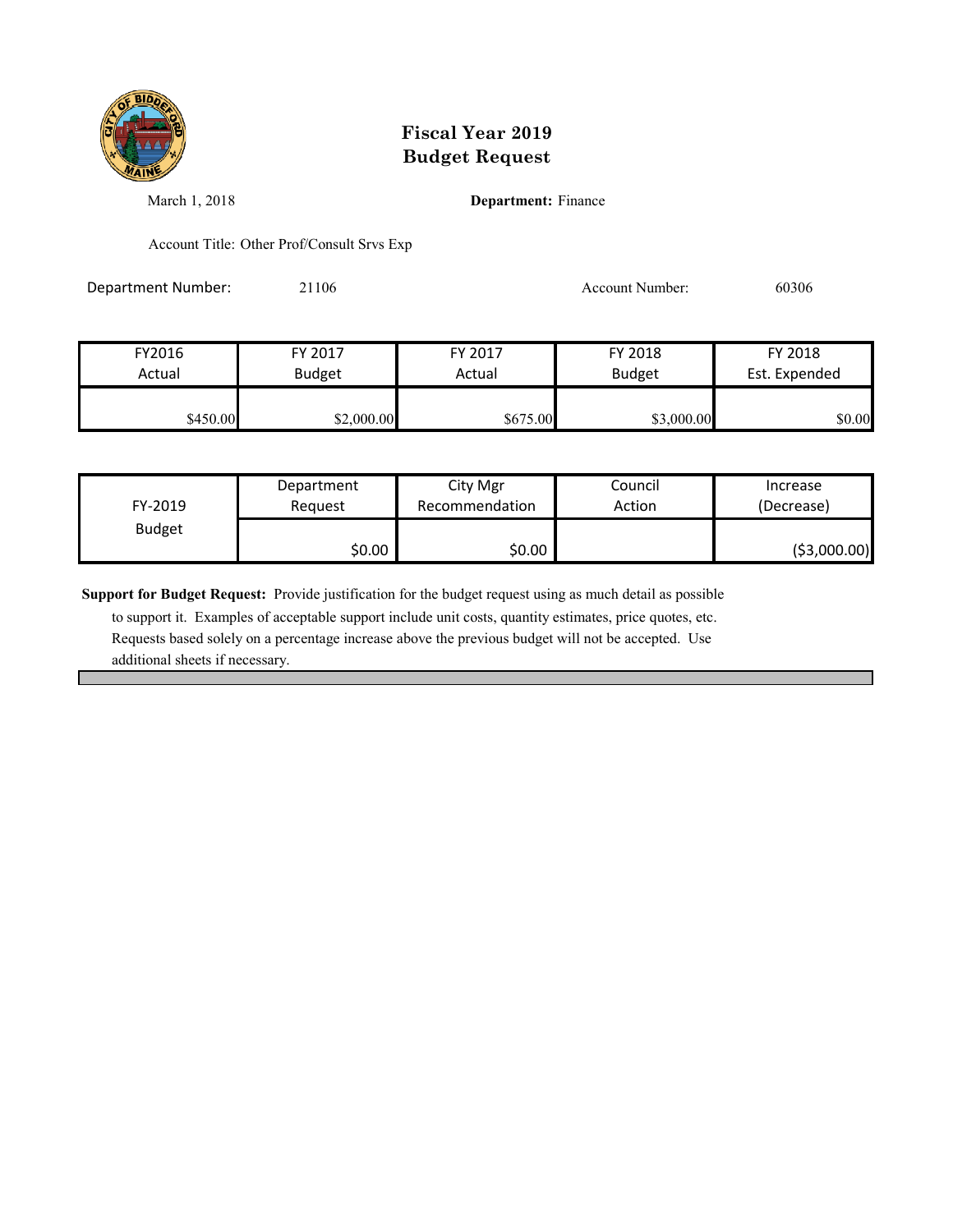

March 1, 2018 **Department:** Finance

Account Title: Other Prof/Consult Srvs Exp

Department Number: 21106 Account Number: 60306

FY2016 FY 2017 FY 2017 FY 2018 FY 2018 Actual Budget **Actual Budget** Actual Budget Est. Expended \$450.00 \$2,000.00 \$2,000.00 \$675.00 \$3,000.00 \$0.00

| FY-2019       | Department | City Mgr       | Council | Increase      |
|---------------|------------|----------------|---------|---------------|
|               | Reauest    | Recommendation | Action  | (Decrease)    |
| <b>Budget</b> | \$0.00     | \$0.00         |         | ( \$3,000.00) |

**Support for Budget Request:** Provide justification for the budget request using as much detail as possible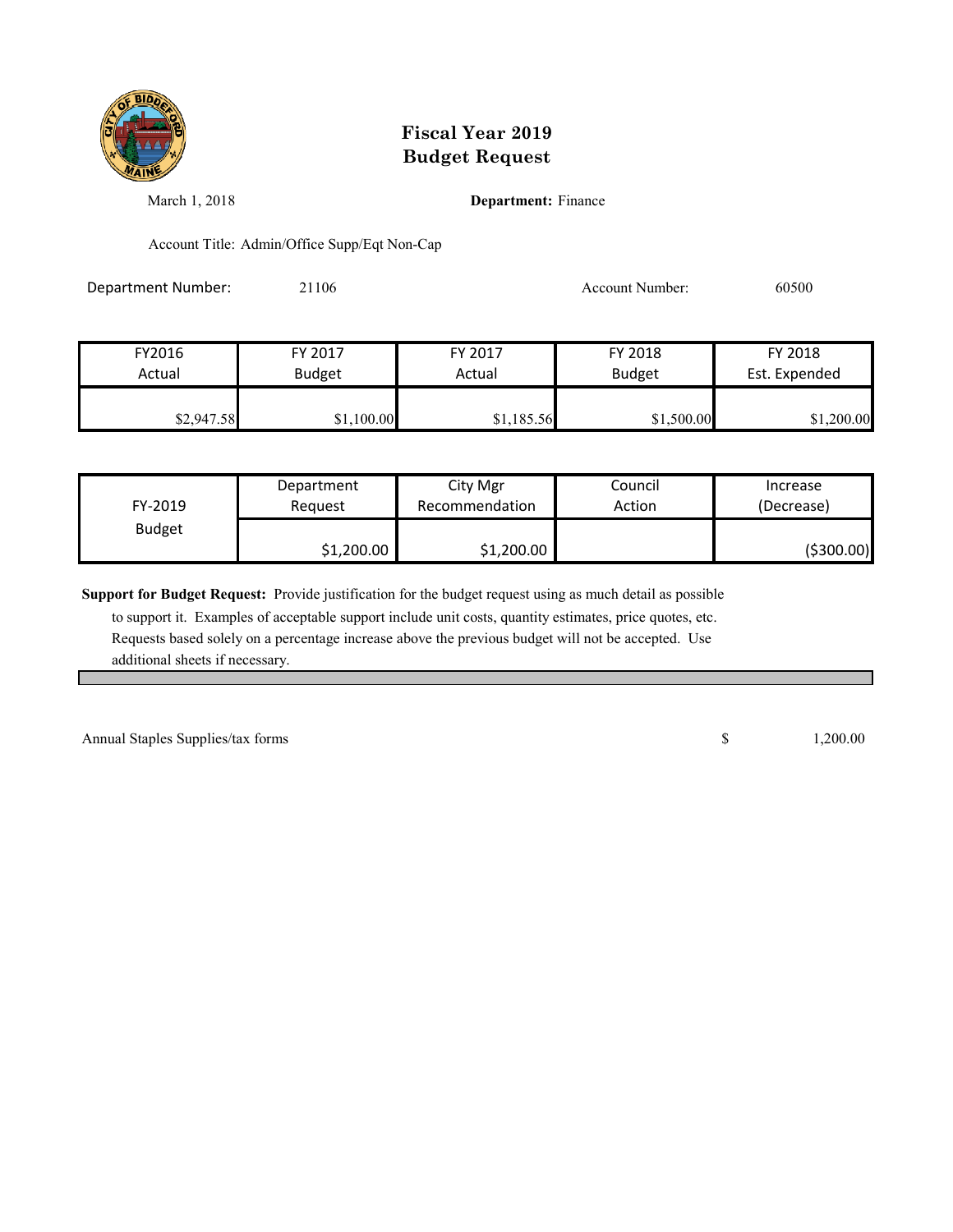

March 1, 2018 **Department:** Finance

Account Title: Admin/Office Supp/Eqt Non-Cap

Department Number: 21106 21106 Account Number: 60500

| FY2016<br>Actual | FY 2017       | FY 2017<br>Actual | FY 2018       | FY 2018<br>Est. Expended |
|------------------|---------------|-------------------|---------------|--------------------------|
|                  | <b>Budget</b> |                   | <b>Budget</b> |                          |
| \$2,947.58       | \$1,100.00    | \$1,185.56        | \$1,500.00    | \$1,200.00               |

| FY-2019       | Department | City Mgr       | Council | Increase   |
|---------------|------------|----------------|---------|------------|
|               | Reauest    | Recommendation | Action  | (Decrease) |
| <b>Budget</b> | \$1,200.00 | \$1,200.00     |         | (\$300.00) |

**Support for Budget Request:** Provide justification for the budget request using as much detail as possible

 to support it. Examples of acceptable support include unit costs, quantity estimates, price quotes, etc. Requests based solely on a percentage increase above the previous budget will not be accepted. Use additional sheets if necessary.

Annual Staples Supplies/tax forms  $\qquad \qquad$  1,200.00